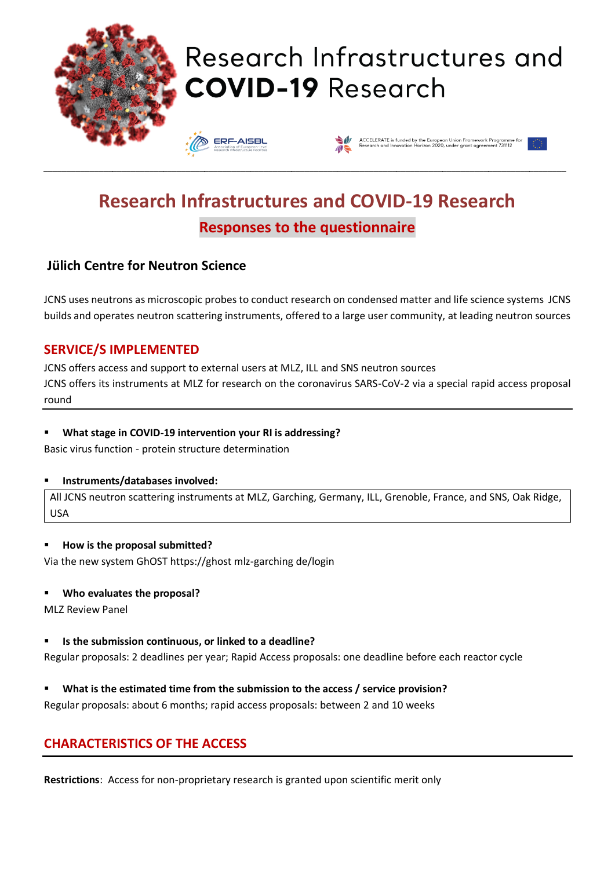

# Research Infrastructures and **COVID-19 Research**





# **Research Infrastructures and COVID-19 Research Responses to the questionnaire**

\_\_\_\_\_\_\_\_\_\_\_\_\_\_\_\_\_\_\_\_\_\_\_\_\_\_\_\_\_\_\_\_\_\_\_\_\_\_\_\_\_\_\_\_\_\_\_\_\_\_\_\_\_\_\_\_\_\_\_\_\_\_\_\_\_\_\_\_\_\_\_\_\_\_\_\_\_\_\_\_\_\_\_\_\_\_\_\_\_\_\_\_\_\_\_\_\_\_\_\_\_\_\_\_\_\_\_\_\_\_\_\_\_\_

# **Jülich Centre for Neutron Science**

JCNS uses neutrons as microscopic probes to conduct research on condensed matter and life science systems JCNS builds and operates neutron scattering instruments, offered to a large user community, at leading neutron sources

# **SERVICE/S IMPLEMENTED**

JCNS offers access and support to external users at MLZ, ILL and SNS neutron sources JCNS offers its instruments at MLZ for research on the coronavirus SARS-CoV-2 via a special rapid access proposal round

#### ▪ **What stage in COVID-19 intervention your RI is addressing?**

Basic virus function - protein structure determination

#### ▪ **Instruments/databases involved:**

All JCNS neutron scattering instruments at MLZ, Garching, Germany, ILL, Grenoble, France, and SNS, Oak Ridge, USA

#### ▪ **How is the proposal submitted?**

Via the new system GhOST https://ghost mlz-garching de/login

#### ▪ **Who evaluates the proposal?**

MLZ Review Panel

#### ▪ **Is the submission continuous, or linked to a deadline?**

Regular proposals: 2 deadlines per year; Rapid Access proposals: one deadline before each reactor cycle

#### ▪ **What is the estimated time from the submission to the access / service provision?**

Regular proposals: about 6 months; rapid access proposals: between 2 and 10 weeks

# **CHARACTERISTICS OF THE ACCESS**

**Restrictions**: Access for non-proprietary research is granted upon scientific merit only